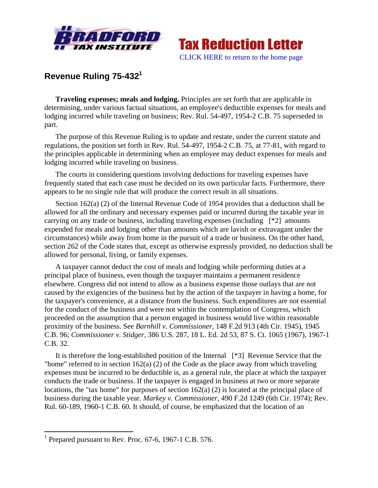



## **Revenue Ruling 75-4321**

**Traveling expenses; meals and lodging.** Principles are set forth that are applicable in determining, under various factual situations, an employee's deductible expenses for meals and lodging incurred while traveling on business; Rev. Rul. 54-497, 1954-2 C.B. 75 superseded in part.

The purpose of this Revenue Ruling is to update and restate, under the current statute and regulations, the position set forth in Rev. Rul. 54-497, 1954-2 C.B. 75, at 77-81, with regard to the principles applicable in determining when an employee may deduct expenses for meals and lodging incurred while traveling on business.

The courts in considering questions involving deductions for traveling expenses have frequently stated that each case must be decided on its own particular facts. Furthermore, there appears to be no single rule that will produce the correct result in all situations.

Section 162(a) (2) of the Internal Revenue Code of 1954 provides that a deduction shall be allowed for all the ordinary and necessary expenses paid or incurred during the taxable year in carrying on any trade or business, including traveling expenses (including [\*2] amounts expended for meals and lodging other than amounts which are lavish or extravagant under the circumstances) while away from home in the pursuit of a trade or business. On the other hand, section 262 of the Code states that, except as otherwise expressly provided, no deduction shall be allowed for personal, living, or family expenses.

A taxpayer cannot deduct the cost of meals and lodging while performing duties at a principal place of business, even though the taxpayer maintains a permanent residence elsewhere. Congress did not intend to allow as a business expense those outlays that are not caused by the exigencies of the business but by the action of the taxpayer in having a home, for the taxpayer's convenience, at a distance from the business. Such expenditures are not essential for the conduct of the business and were not within the contemplation of Congress, which proceeded on the assumption that a person engaged in business would live within reasonable proximity of the business. See *Barnhill v. Commissioner,* 148 F.2d 913 (4th Cir. 1945), 1945 C.B. 96; *Commissioner v. Stidger,* 386 U.S. 287, 18 L. Ed. 2d 53, 87 S. Ct. 1065 (1967), 1967-1 C.B. 32.

It is therefore the long-established position of the Internal [\*3] Revenue Service that the "home" referred to in section  $162(a)$  (2) of the Code as the place away from which traveling expenses must be incurred to be deductible is, as a general rule, the place at which the taxpayer conducts the trade or business. If the taxpayer is engaged in business at two or more separate locations, the "tax home" for purposes of section 162(a) (2) is located at the principal place of business during the taxable year. *Markey v. Commissioner,* 490 F.2d 1249 (6th Cir. 1974); Rev. Rul. 60-189, 1960-1 C.B. 60. It should, of course, be emphasized that the location of an

<sup>&</sup>lt;sup>1</sup> Prepared pursuant to Rev. Proc. 67-6, 1967-1 C.B. 576.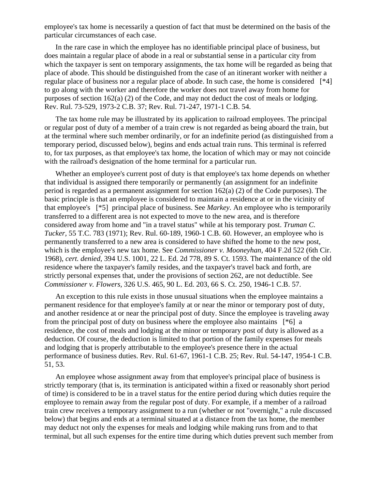employee's tax home is necessarily a question of fact that must be determined on the basis of the particular circumstances of each case.

In the rare case in which the employee has no identifiable principal place of business, but does maintain a regular place of abode in a real or substantial sense in a particular city from which the taxpayer is sent on temporary assignments, the tax home will be regarded as being that place of abode. This should be distinguished from the case of an itinerant worker with neither a regular place of business nor a regular place of abode. In such case, the home is considered [\*4] to go along with the worker and therefore the worker does not travel away from home for purposes of section 162(a) (2) of the Code, and may not deduct the cost of meals or lodging. Rev. Rul. 73-529, 1973-2 C.B. 37; Rev. Rul. 71-247, 1971-1 C.B. 54.

The tax home rule may be illustrated by its application to railroad employees. The principal or regular post of duty of a member of a train crew is not regarded as being aboard the train, but at the terminal where such member ordinarily, or for an indefinite period (as distinguished from a temporary period, discussed below), begins and ends actual train runs. This terminal is referred to, for tax purposes, as that employee's tax home, the location of which may or may not coincide with the railroad's designation of the home terminal for a particular run.

Whether an employee's current post of duty is that employee's tax home depends on whether that individual is assigned there temporarily or permanently (an assignment for an indefinite period is regarded as a permanent assignment for section 162(a) (2) of the Code purposes). The basic principle is that an employee is considered to maintain a residence at or in the vicinity of that employee's [\*5] principal place of business. See *Markey.* An employee who is temporarily transferred to a different area is not expected to move to the new area, and is therefore considered away from home and "in a travel status" while at his temporary post. *Truman C. Tucker,* 55 T.C. 783 (1971); Rev. Rul. 60-189, 1960-1 C.B. 60. However, an employee who is permanently transferred to a new area is considered to have shifted the home to the new post, which is the employee's new tax home. See *Commissioner v. Mooneyhan,* 404 F.2d 522 (6th Cir. 1968), *cert. denied,* 394 U.S. 1001, 22 L. Ed. 2d 778, 89 S. Ct. 1593. The maintenance of the old residence where the taxpayer's family resides, and the taxpayer's travel back and forth, are strictly personal expenses that, under the provisions of section 262, are not deductible. See *Commissioner v. Flowers,* 326 U.S. 465, 90 L. Ed. 203, 66 S. Ct. 250, 1946-1 C.B. 57.

An exception to this rule exists in those unusual situations when the employee maintains a permanent residence for that employee's family at or near the minor or temporary post of duty, and another residence at or near the principal post of duty. Since the employee is traveling away from the principal post of duty on business where the employee also maintains [\*6] a residence, the cost of meals and lodging at the minor or temporary post of duty is allowed as a deduction. Of course, the deduction is limited to that portion of the family expenses for meals and lodging that is properly attributable to the employee's presence there in the actual performance of business duties. Rev. Rul. 61-67, 1961-1 C.B. 25; Rev. Rul. 54-147, 1954-1 C.B. 51, 53.

An employee whose assignment away from that employee's principal place of business is strictly temporary (that is, its termination is anticipated within a fixed or reasonably short period of time) is considered to be in a travel status for the entire period during which duties require the employee to remain away from the regular post of duty. For example, if a member of a railroad train crew receives a temporary assignment to a run (whether or not "overnight," a rule discussed below) that begins and ends at a terminal situated at a distance from the tax home, the member may deduct not only the expenses for meals and lodging while making runs from and to that terminal, but all such expenses for the entire time during which duties prevent such member from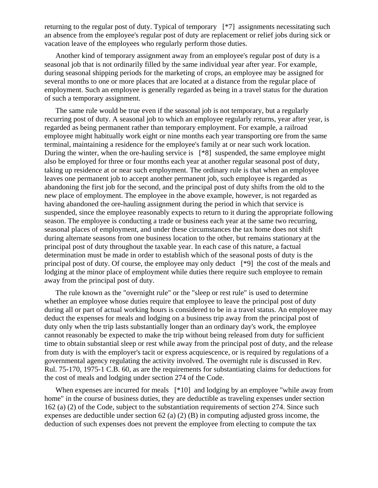returning to the regular post of duty. Typical of temporary [\*7] assignments necessitating such an absence from the employee's regular post of duty are replacement or relief jobs during sick or vacation leave of the employees who regularly perform those duties.

Another kind of temporary assignment away from an employee's regular post of duty is a seasonal job that is not ordinarily filled by the same individual year after year. For example, during seasonal shipping periods for the marketing of crops, an employee may be assigned for several months to one or more places that are located at a distance from the regular place of employment. Such an employee is generally regarded as being in a travel status for the duration of such a temporary assignment.

The same rule would be true even if the seasonal job is not temporary, but a regularly recurring post of duty. A seasonal job to which an employee regularly returns, year after year, is regarded as being permanent rather than temporary employment. For example, a railroad employee might habitually work eight or nine months each year transporting ore from the same terminal, maintaining a residence for the employee's family at or near such work location. During the winter, when the ore-hauling service is [\*8] suspended, the same employee might also be employed for three or four months each year at another regular seasonal post of duty, taking up residence at or near such employment. The ordinary rule is that when an employee leaves one permanent job to accept another permanent job, such employee is regarded as abandoning the first job for the second, and the principal post of duty shifts from the old to the new place of employment. The employee in the above example, however, is not regarded as having abandoned the ore-hauling assignment during the period in which that service is suspended, since the employee reasonably expects to return to it during the appropriate following season. The employee is conducting a trade or business each year at the same two recurring, seasonal places of employment, and under these circumstances the tax home does not shift during alternate seasons from one business location to the other, but remains stationary at the principal post of duty throughout the taxable year. In each case of this nature, a factual determination must be made in order to establish which of the seasonal posts of duty is the principal post of duty. Of course, the employee may only deduct [\*9] the cost of the meals and lodging at the minor place of employment while duties there require such employee to remain away from the principal post of duty.

The rule known as the "overnight rule" or the "sleep or rest rule" is used to determine whether an employee whose duties require that employee to leave the principal post of duty during all or part of actual working hours is considered to be in a travel status. An employee may deduct the expenses for meals and lodging on a business trip away from the principal post of duty only when the trip lasts substantially longer than an ordinary day's work, the employee cannot reasonably be expected to make the trip without being released from duty for sufficient time to obtain substantial sleep or rest while away from the principal post of duty, and the release from duty is with the employer's tacit or express acquiescence, or is required by regulations of a governmental agency regulating the activity involved. The overnight rule is discussed in Rev. Rul. 75-170, 1975-1 C.B. 60, as are the requirements for substantiating claims for deductions for the cost of meals and lodging under section 274 of the Code.

When expenses are incurred for meals [\*10] and lodging by an employee "while away from home" in the course of business duties, they are deductible as traveling expenses under section 162 (a) (2) of the Code, subject to the substantiation requirements of section 274. Since such expenses are deductible under section 62 (a) (2) (B) in computing adjusted gross income, the deduction of such expenses does not prevent the employee from electing to compute the tax